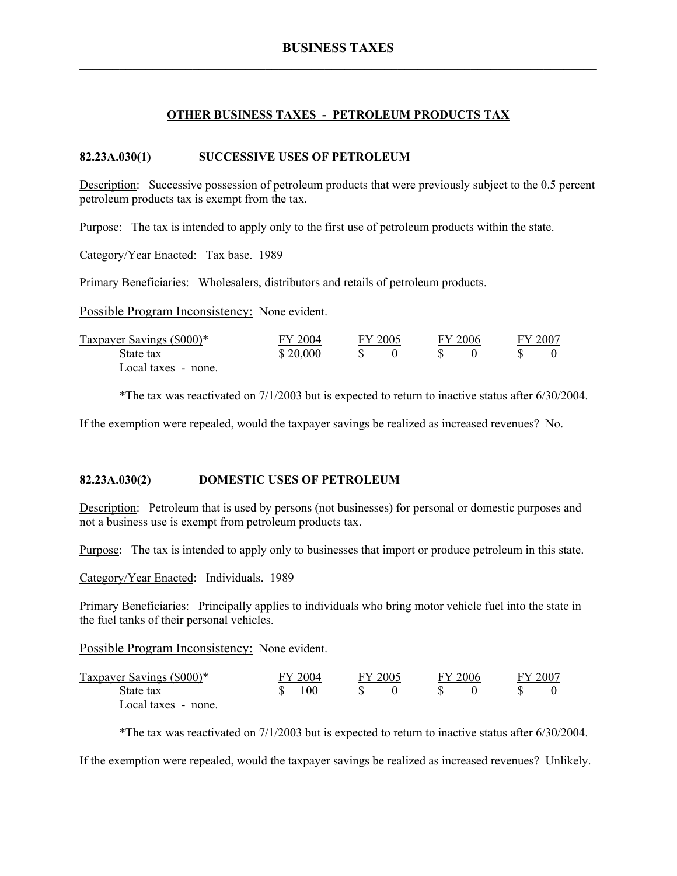## **OTHER BUSINESS TAXES - PETROLEUM PRODUCTS TAX**

### **82.23A.030(1) SUCCESSIVE USES OF PETROLEUM**

Description: Successive possession of petroleum products that were previously subject to the 0.5 percent petroleum products tax is exempt from the tax.

Purpose: The tax is intended to apply only to the first use of petroleum products within the state.

Category/Year Enacted: Tax base. 1989

Primary Beneficiaries: Wholesalers, distributors and retails of petroleum products.

Possible Program Inconsistency: None evident.

| Taxpayer Savings (\$000)* | FY 2004  | FY 2005 |  | FY 2006 |  | FY 2007 |  |
|---------------------------|----------|---------|--|---------|--|---------|--|
| State tax                 | \$20,000 |         |  |         |  |         |  |
| Local taxes - none.       |          |         |  |         |  |         |  |

\*The tax was reactivated on 7/1/2003 but is expected to return to inactive status after 6/30/2004.

If the exemption were repealed, would the taxpayer savings be realized as increased revenues? No.

## **82.23A.030(2) DOMESTIC USES OF PETROLEUM**

Description: Petroleum that is used by persons (not businesses) for personal or domestic purposes and not a business use is exempt from petroleum products tax.

Purpose: The tax is intended to apply only to businesses that import or produce petroleum in this state.

Category/Year Enacted: Individuals. 1989

Primary Beneficiaries: Principally applies to individuals who bring motor vehicle fuel into the state in the fuel tanks of their personal vehicles.

Possible Program Inconsistency: None evident.

| Taxpayer Savings (\$000)* | <b>FY 2004</b> | FY 2005 | FY 2006 | FY 2007 |  |
|---------------------------|----------------|---------|---------|---------|--|
| State tax                 | 100            |         |         |         |  |
| Local taxes - none.       |                |         |         |         |  |

\*The tax was reactivated on 7/1/2003 but is expected to return to inactive status after 6/30/2004.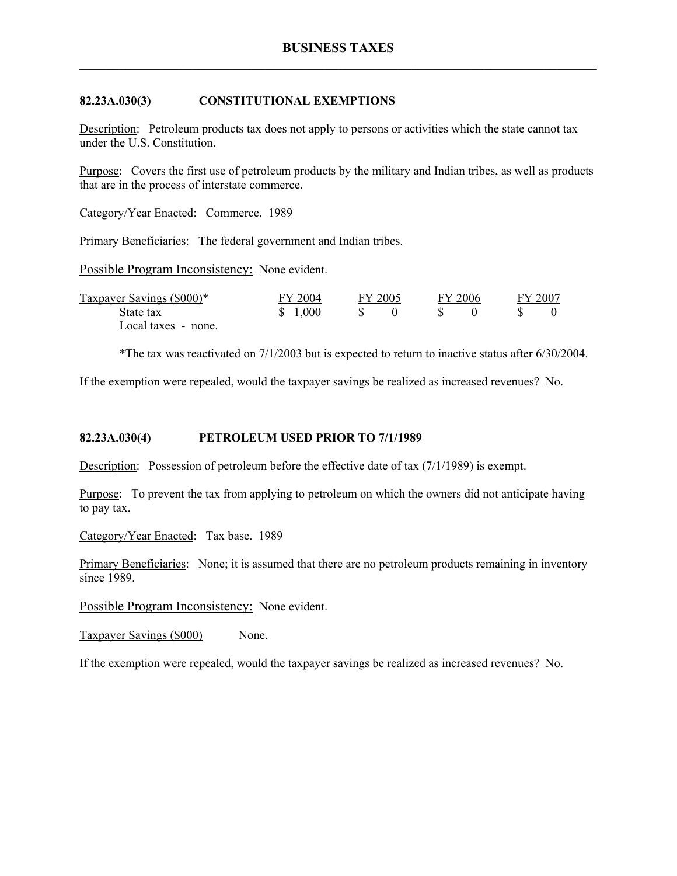## **82.23A.030(3) CONSTITUTIONAL EXEMPTIONS**

Description: Petroleum products tax does not apply to persons or activities which the state cannot tax under the U.S. Constitution.

Purpose: Covers the first use of petroleum products by the military and Indian tribes, as well as products that are in the process of interstate commerce.

Category/Year Enacted: Commerce. 1989

Primary Beneficiaries: The federal government and Indian tribes.

Possible Program Inconsistency: None evident.

| Taxpayer Savings (\$000)* | FY 2004 | FY 2005 | FY 2006 | FY 2007 |
|---------------------------|---------|---------|---------|---------|
| State tax                 | \$1,000 |         |         |         |
| Local taxes - none.       |         |         |         |         |

\*The tax was reactivated on 7/1/2003 but is expected to return to inactive status after 6/30/2004.

If the exemption were repealed, would the taxpayer savings be realized as increased revenues? No.

### **82.23A.030(4) PETROLEUM USED PRIOR TO 7/1/1989**

Description: Possession of petroleum before the effective date of tax (7/1/1989) is exempt.

Purpose: To prevent the tax from applying to petroleum on which the owners did not anticipate having to pay tax.

Category/Year Enacted: Tax base. 1989

Primary Beneficiaries: None; it is assumed that there are no petroleum products remaining in inventory since 1989.

Possible Program Inconsistency: None evident.

Taxpayer Savings (\$000) None.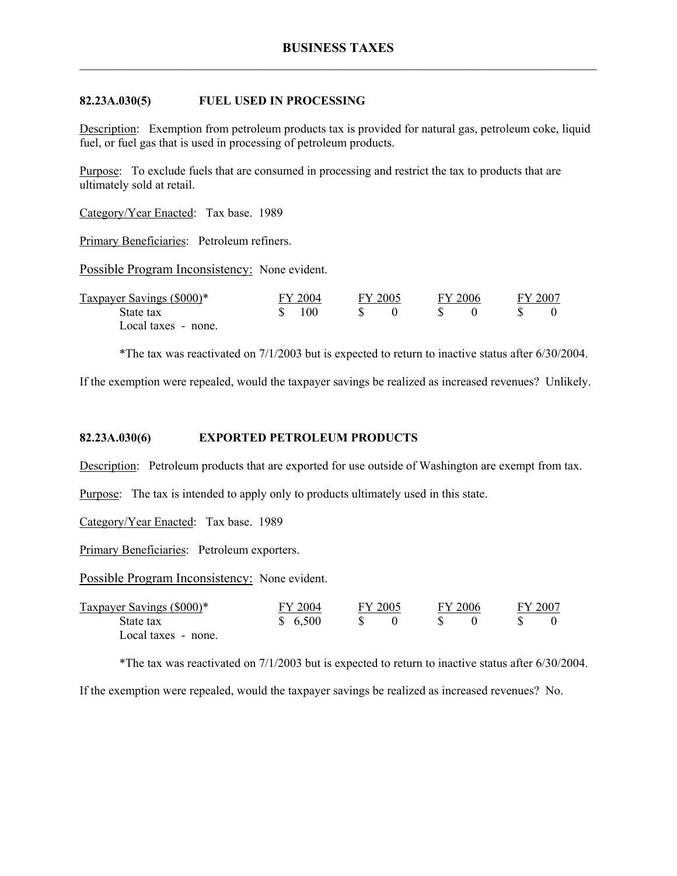### **82.23A.030(5) FUEL USED IN PROCESSING**

Description: Exemption from petroleum products tax is provided for natural gas, petroleum coke, liquid fuel, or fuel gas that is used in processing of petroleum products.

Purpose: To exclude fuels that are consumed in processing and restrict the tax to products that are ultimately sold at retail.

Category/Year Enacted: Tax base. 1989

Primary Beneficiaries: Petroleum refiners.

Possible Program Inconsistency: None evident.

| Taxpayer Savings (\$000)* | FY 2004 | FY 2005 | FY 2006 | FY 2007 |  |
|---------------------------|---------|---------|---------|---------|--|
| State tax                 | 100     |         |         |         |  |
| Local taxes - none.       |         |         |         |         |  |

\*The tax was reactivated on 7/1/2003 but is expected to return to inactive status after 6/30/2004.

If the exemption were repealed, would the taxpayer savings be realized as increased revenues? Unlikely.

#### **82.23A.030(6) EXPORTED PETROLEUM PRODUCTS**

Description: Petroleum products that are exported for use outside of Washington are exempt from tax.

Purpose: The tax is intended to apply only to products ultimately used in this state.

Category/Year Enacted: Tax base. 1989

Primary Beneficiaries: Petroleum exporters.

Possible Program Inconsistency: None evident.

| Taxpayer Savings (\$000)* | FY 2004 | FY 2005 | FY 2006 | FY 2007 |  |
|---------------------------|---------|---------|---------|---------|--|
| State tax                 | \$6,500 |         |         |         |  |
| Local taxes - none.       |         |         |         |         |  |

\*The tax was reactivated on 7/1/2003 but is expected to return to inactive status after 6/30/2004.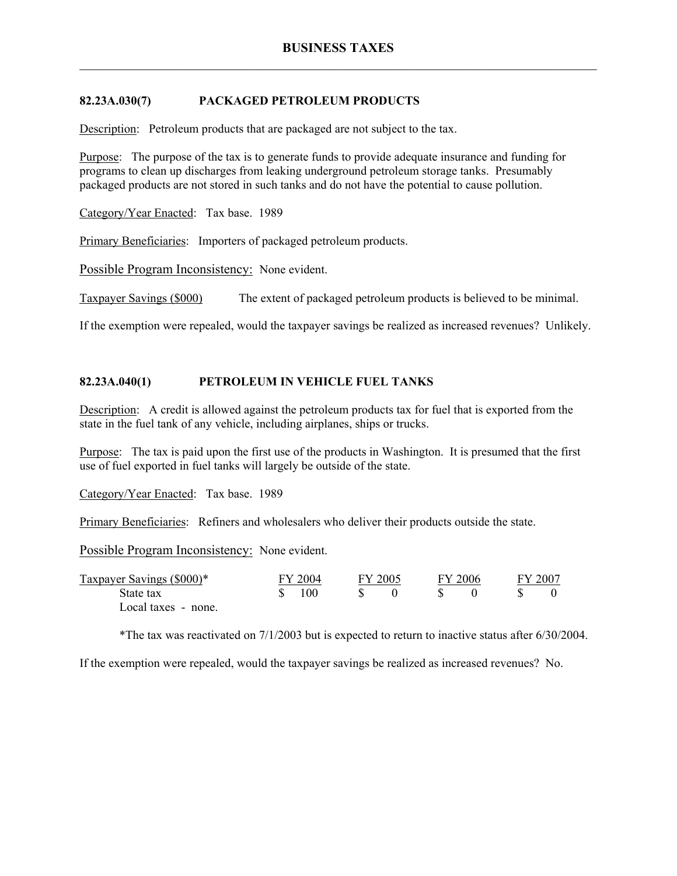# **82.23A.030(7) PACKAGED PETROLEUM PRODUCTS**

Description: Petroleum products that are packaged are not subject to the tax.

Purpose: The purpose of the tax is to generate funds to provide adequate insurance and funding for programs to clean up discharges from leaking underground petroleum storage tanks. Presumably packaged products are not stored in such tanks and do not have the potential to cause pollution.

Category/Year Enacted: Tax base. 1989

Primary Beneficiaries: Importers of packaged petroleum products.

Possible Program Inconsistency: None evident.

Taxpayer Savings (\$000) The extent of packaged petroleum products is believed to be minimal.

If the exemption were repealed, would the taxpayer savings be realized as increased revenues? Unlikely.

### **82.23A.040(1) PETROLEUM IN VEHICLE FUEL TANKS**

Description: A credit is allowed against the petroleum products tax for fuel that is exported from the state in the fuel tank of any vehicle, including airplanes, ships or trucks.

Purpose: The tax is paid upon the first use of the products in Washington. It is presumed that the first use of fuel exported in fuel tanks will largely be outside of the state.

Category/Year Enacted: Tax base. 1989

Primary Beneficiaries: Refiners and wholesalers who deliver their products outside the state.

Possible Program Inconsistency: None evident.

| Taxpayer Savings (\$000)* | FY 2004 | FY 2005 | FY 2006 | FY 2007 |  |
|---------------------------|---------|---------|---------|---------|--|
| State tax                 | 100     |         |         |         |  |
| Local taxes - none.       |         |         |         |         |  |

\*The tax was reactivated on 7/1/2003 but is expected to return to inactive status after 6/30/2004.